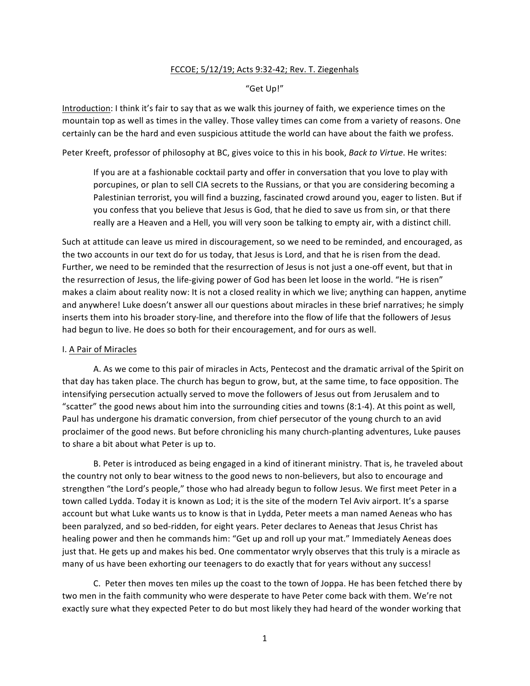## FCCOE; 5/12/19; Acts 9:32-42; Rev. T. Ziegenhals

## "Get Up!"

Introduction: I think it's fair to say that as we walk this journey of faith, we experience times on the mountain top as well as times in the valley. Those valley times can come from a variety of reasons. One certainly can be the hard and even suspicious attitude the world can have about the faith we profess.

Peter Kreeft, professor of philosophy at BC, gives voice to this in his book, *Back to Virtue*. He writes:

If you are at a fashionable cocktail party and offer in conversation that you love to play with porcupines, or plan to sell CIA secrets to the Russians, or that you are considering becoming a Palestinian terrorist, you will find a buzzing, fascinated crowd around you, eager to listen. But if you confess that you believe that Jesus is God, that he died to save us from sin, or that there really are a Heaven and a Hell, you will very soon be talking to empty air, with a distinct chill.

Such at attitude can leave us mired in discouragement, so we need to be reminded, and encouraged, as the two accounts in our text do for us today, that Jesus is Lord, and that he is risen from the dead. Further, we need to be reminded that the resurrection of Jesus is not just a one-off event, but that in the resurrection of Jesus, the life-giving power of God has been let loose in the world. "He is risen" makes a claim about reality now: It is not a closed reality in which we live; anything can happen, anytime and anywhere! Luke doesn't answer all our questions about miracles in these brief narratives; he simply inserts them into his broader story-line, and therefore into the flow of life that the followers of Jesus had begun to live. He does so both for their encouragement, and for ours as well.

## I. A Pair of Miracles

A. As we come to this pair of miracles in Acts, Pentecost and the dramatic arrival of the Spirit on that day has taken place. The church has begun to grow, but, at the same time, to face opposition. The intensifying persecution actually served to move the followers of Jesus out from Jerusalem and to "scatter" the good news about him into the surrounding cities and towns (8:1-4). At this point as well, Paul has undergone his dramatic conversion, from chief persecutor of the young church to an avid proclaimer of the good news. But before chronicling his many church-planting adventures, Luke pauses to share a bit about what Peter is up to.

B. Peter is introduced as being engaged in a kind of itinerant ministry. That is, he traveled about the country not only to bear witness to the good news to non-believers, but also to encourage and strengthen "the Lord's people," those who had already begun to follow Jesus. We first meet Peter in a town called Lydda. Today it is known as Lod; it is the site of the modern Tel Aviv airport. It's a sparse account but what Luke wants us to know is that in Lydda, Peter meets a man named Aeneas who has been paralyzed, and so bed-ridden, for eight years. Peter declares to Aeneas that Jesus Christ has healing power and then he commands him: "Get up and roll up your mat." Immediately Aeneas does just that. He gets up and makes his bed. One commentator wryly observes that this truly is a miracle as many of us have been exhorting our teenagers to do exactly that for years without any success!

C. Peter then moves ten miles up the coast to the town of Joppa. He has been fetched there by two men in the faith community who were desperate to have Peter come back with them. We're not exactly sure what they expected Peter to do but most likely they had heard of the wonder working that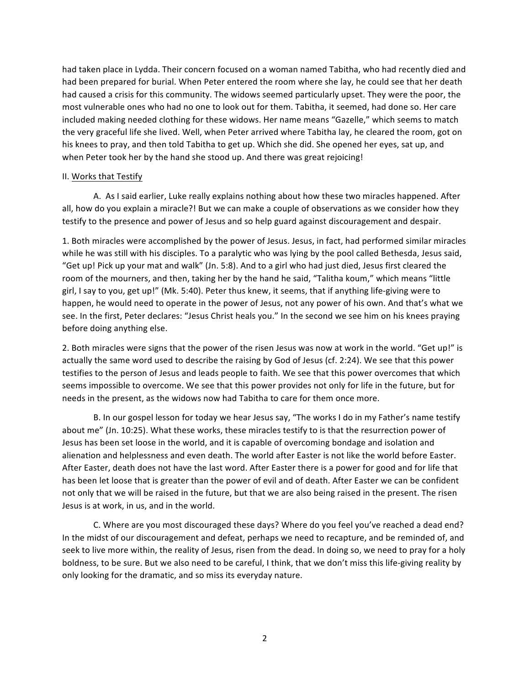had taken place in Lydda. Their concern focused on a woman named Tabitha, who had recently died and had been prepared for burial. When Peter entered the room where she lay, he could see that her death had caused a crisis for this community. The widows seemed particularly upset. They were the poor, the most vulnerable ones who had no one to look out for them. Tabitha, it seemed, had done so. Her care included making needed clothing for these widows. Her name means "Gazelle," which seems to match the very graceful life she lived. Well, when Peter arrived where Tabitha lay, he cleared the room, got on his knees to pray, and then told Tabitha to get up. Which she did. She opened her eyes, sat up, and when Peter took her by the hand she stood up. And there was great rejoicing!

## II. Works that Testify

A. As I said earlier, Luke really explains nothing about how these two miracles happened. After all, how do you explain a miracle?! But we can make a couple of observations as we consider how they testify to the presence and power of Jesus and so help guard against discouragement and despair.

1. Both miracles were accomplished by the power of Jesus. Jesus, in fact, had performed similar miracles while he was still with his disciples. To a paralytic who was lying by the pool called Bethesda, Jesus said, "Get up! Pick up your mat and walk" (Jn. 5:8). And to a girl who had just died, Jesus first cleared the room of the mourners, and then, taking her by the hand he said, "Talitha koum," which means "little girl, I say to you, get up!" (Mk. 5:40). Peter thus knew, it seems, that if anything life-giving were to happen, he would need to operate in the power of Jesus, not any power of his own. And that's what we see. In the first, Peter declares: "Jesus Christ heals you." In the second we see him on his knees praying before doing anything else.

2. Both miracles were signs that the power of the risen Jesus was now at work in the world. "Get up!" is actually the same word used to describe the raising by God of Jesus (cf. 2:24). We see that this power testifies to the person of Jesus and leads people to faith. We see that this power overcomes that which seems impossible to overcome. We see that this power provides not only for life in the future, but for needs in the present, as the widows now had Tabitha to care for them once more.

B. In our gospel lesson for today we hear Jesus say, "The works I do in my Father's name testify about me" (Jn. 10:25). What these works, these miracles testify to is that the resurrection power of Jesus has been set loose in the world, and it is capable of overcoming bondage and isolation and alienation and helplessness and even death. The world after Easter is not like the world before Easter. After Easter, death does not have the last word. After Easter there is a power for good and for life that has been let loose that is greater than the power of evil and of death. After Easter we can be confident not only that we will be raised in the future, but that we are also being raised in the present. The risen Jesus is at work, in us, and in the world.

C. Where are you most discouraged these days? Where do you feel you've reached a dead end? In the midst of our discouragement and defeat, perhaps we need to recapture, and be reminded of, and seek to live more within, the reality of Jesus, risen from the dead. In doing so, we need to pray for a holy boldness, to be sure. But we also need to be careful, I think, that we don't miss this life-giving reality by only looking for the dramatic, and so miss its everyday nature.